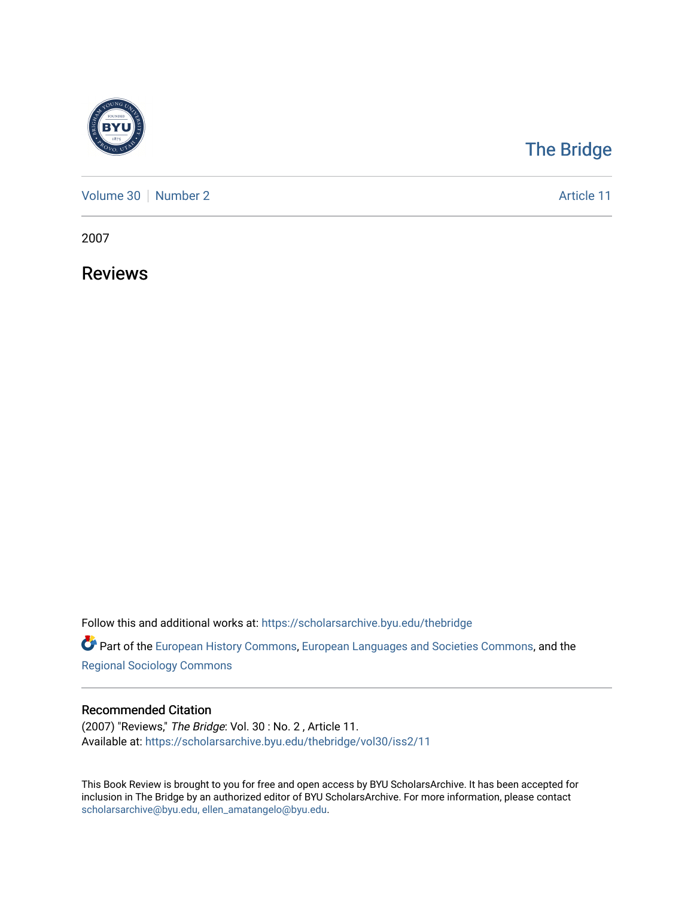

## [The Bridge](https://scholarsarchive.byu.edu/thebridge)

[Volume 30](https://scholarsarchive.byu.edu/thebridge/vol30) [Number 2](https://scholarsarchive.byu.edu/thebridge/vol30/iss2) Article 11

2007

Reviews

Follow this and additional works at: [https://scholarsarchive.byu.edu/thebridge](https://scholarsarchive.byu.edu/thebridge?utm_source=scholarsarchive.byu.edu%2Fthebridge%2Fvol30%2Fiss2%2F11&utm_medium=PDF&utm_campaign=PDFCoverPages) 

**Part of the [European History Commons](http://network.bepress.com/hgg/discipline/492?utm_source=scholarsarchive.byu.edu%2Fthebridge%2Fvol30%2Fiss2%2F11&utm_medium=PDF&utm_campaign=PDFCoverPages), [European Languages and Societies Commons,](http://network.bepress.com/hgg/discipline/482?utm_source=scholarsarchive.byu.edu%2Fthebridge%2Fvol30%2Fiss2%2F11&utm_medium=PDF&utm_campaign=PDFCoverPages) and the** [Regional Sociology Commons](http://network.bepress.com/hgg/discipline/427?utm_source=scholarsarchive.byu.edu%2Fthebridge%2Fvol30%2Fiss2%2F11&utm_medium=PDF&utm_campaign=PDFCoverPages) 

## Recommended Citation

(2007) "Reviews," The Bridge: Vol. 30 : No. 2 , Article 11. Available at: [https://scholarsarchive.byu.edu/thebridge/vol30/iss2/11](https://scholarsarchive.byu.edu/thebridge/vol30/iss2/11?utm_source=scholarsarchive.byu.edu%2Fthebridge%2Fvol30%2Fiss2%2F11&utm_medium=PDF&utm_campaign=PDFCoverPages)

This Book Review is brought to you for free and open access by BYU ScholarsArchive. It has been accepted for inclusion in The Bridge by an authorized editor of BYU ScholarsArchive. For more information, please contact [scholarsarchive@byu.edu, ellen\\_amatangelo@byu.edu](mailto:scholarsarchive@byu.edu,%20ellen_amatangelo@byu.edu).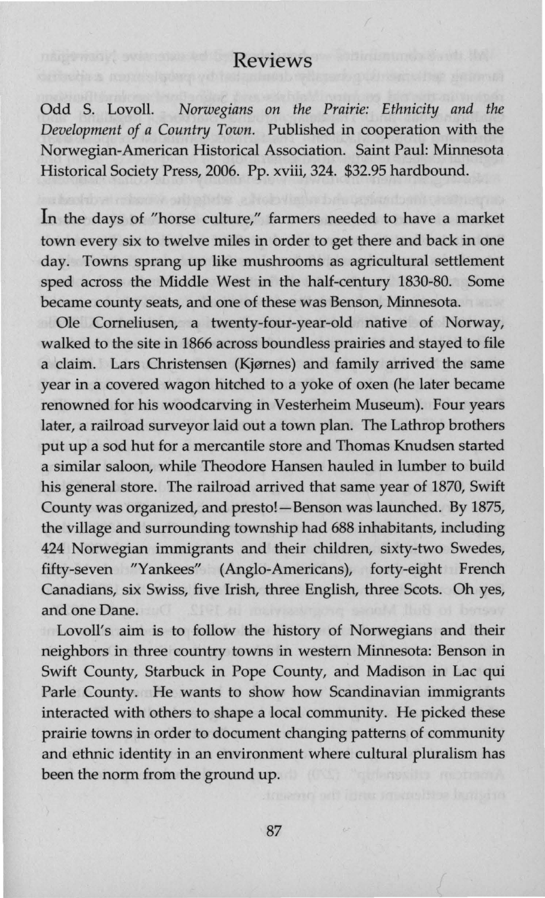## Reviews

Odd S. Lovoll. *Norwegians on the Prairie: Ethnicity and the Development of a Country Town.* Published in cooperation with the Norwegian-American Historical Association. Saint Paul: Minnesota Historical Society Press, 2006. Pp. xviii, 324. \$32.95 hardbound.

In the days of "horse culture," farmers needed to have a market town every six to twelve miles in order to get there and back in one day. Towns sprang up like mushrooms as agricultural settlement sped across the Middle West in the half-century 1830-80. Some became county seats, and one of these was Benson, Minnesota.

Ole Comeliusen, a twenty-four-year-old native of Norway, walked to the site in 1866 across boundless prairies and stayed to file a claim. Lars Christensen (Kjørnes) and family arrived the same year in a covered wagon hitched to a yoke of oxen (he later became renowned for his woodcarving in Vesterheim Museum). Four years later, a railroad surveyor laid out a town plan. The Lathrop brothers put up a sod hut for a mercantile store and Thomas Knudsen started a similar saloon, while Theodore Hansen hauled in lumber to build his general store. The railroad arrived that same year of 1870, Swift County was organized, and presto! - Benson was launched. By 1875, the village and surrounding township had 688 inhabitants, including 424 Norwegian immigrants and their children, sixty-two Swedes, fifty-seven "Yankees" (Anglo-Americans), forty-eight French Canadians, six Swiss, five Irish, three English, three Scots. Oh yes, and one Dane.

Lovoll's aim is to follow the history of Norwegians and their neighbors in three country towns in western Minnesota: Benson in Swift County, Starbuck in Pope County, and Madison in Lac qui Parle County. He wants to show how Scandinavian immigrants interacted with others to shape a local community. He picked these prairie towns in order to document changing patterns of community and ethnic identity in an environment where cultural pluralism has been the norm from the ground up.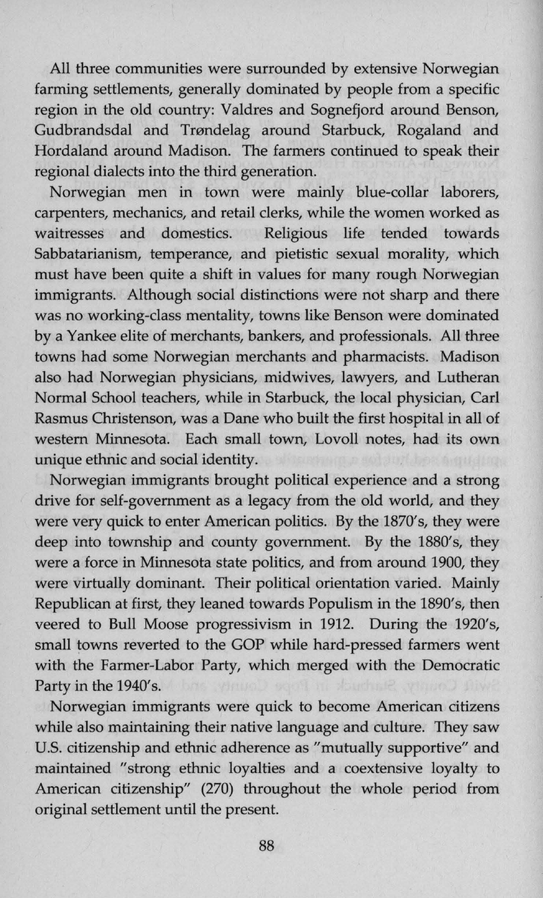All three communities were surrounded by extensive Norwegian farming settlements, generally dominated by people from a specific region in the old country: Valdres and Sognefjord around Benson, Gudbrandsdal and Trøndelag around Starbuck, Rogaland and Hordaland around Madison. The farmers continued to speak their regional dialects into the third generation.

Norwegian men in town were mainly blue-collar laborers, carpenters, mechanics, and retail clerks, while the women worked as waitresses and domestics. Religious life tended towards Sabbatarianism, temperance, and pietistic sexual morality, which must have been quite a shift in values for many rough Norwegian immigrants. Although social distinctions were not sharp and there was no working-class mentality, towns like Benson were dominated by a Yankee elite of merchants, bankers, and professionals. All three towns had some Norwegian merchants and pharmacists. Madison also had Norwegian physicians, midwives, lawyers, and Lutheran Normal School teachers, while in Starbuck, the local physician, Carl Rasmus Christenson, was a Dane who built the first hospital in all of western Minnesota. Each small town, Lovoll notes, had its own unique ethnic and social identity.

Norwegian immigrants brought political experience and a strong drive for self-government as a legacy from the old world, and they were very quick to enter American politics. By the 1870's, they were deep into township and county government. By the 1880's, they were a force in Minnesota state politics, and from around 1900, they were virtually dominant. Their political orientation varied. Mainly Republican at first, they leaned towards Populism in the 1890's, then veered to Bull Moose progressivism in 1912. During the 1920's, small towns reverted to the GOP while hard-pressed farmers went with the Farmer-Labor Party, which merged with the Democratic Party in the 1940's.

Norwegian immigrants were quick to become American citizens while also maintaining their native language and culture. They saw U.S. citizenship and ethnic adherence as "mutually supportive" and maintained "strong ethnic loyalties and a coextensive loyalty to American citizenship" (270) throughout the whole period from original settlement until the present.